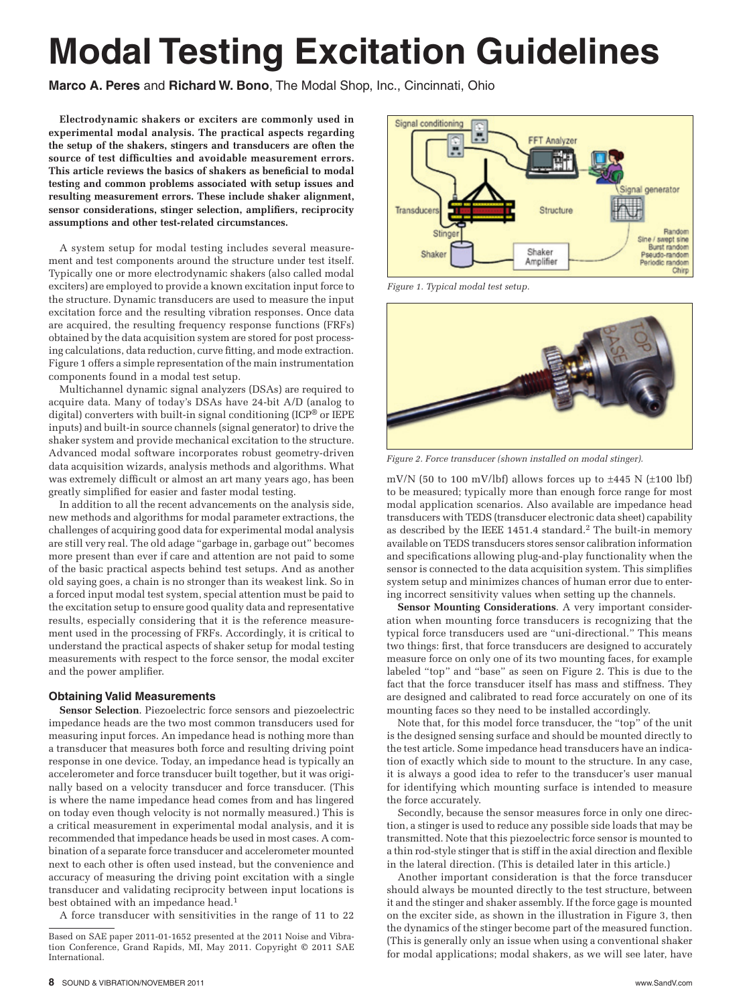# **Modal Testing Excitation Guidelines**

**Marco A. Peres** and **Richard W. Bono**, The Modal Shop, Inc., Cincinnati, Ohio

**Electrodynamic shakers or exciters are commonly used in experimental modal analysis. The practical aspects regarding the setup of the shakers, stingers and transducers are often the source of test difficulties and avoidable measurement errors. This article reviews the basics of shakers as beneficial to modal testing and common problems associated with setup issues and resulting measurement errors. These include shaker alignment, sensor considerations, stinger selection, amplifiers, reciprocity assumptions and other test-related circumstances.**

A system setup for modal testing includes several measurement and test components around the structure under test itself. Typically one or more electrodynamic shakers (also called modal exciters) are employed to provide a known excitation input force to the structure. Dynamic transducers are used to measure the input excitation force and the resulting vibration responses. Once data are acquired, the resulting frequency response functions (FRFs) obtained by the data acquisition system are stored for post processing calculations, data reduction, curve fitting, and mode extraction. Figure 1 offers a simple representation of the main instrumentation components found in a modal test setup.

Multichannel dynamic signal analyzers (DSAs) are required to acquire data. Many of today's DSAs have 24-bit A/D (analog to digital) converters with built-in signal conditioning (ICP® or IEPE inputs) and built-in source channels (signal generator) to drive the shaker system and provide mechanical excitation to the structure. Advanced modal software incorporates robust geometry-driven data acquisition wizards, analysis methods and algorithms. What was extremely difficult or almost an art many years ago, has been greatly simplified for easier and faster modal testing.

In addition to all the recent advancements on the analysis side, new methods and algorithms for modal parameter extractions, the challenges of acquiring good data for experimental modal analysis are still very real. The old adage "garbage in, garbage out" becomes more present than ever if care and attention are not paid to some of the basic practical aspects behind test setups. And as another old saying goes, a chain is no stronger than its weakest link. So in a forced input modal test system, special attention must be paid to the excitation setup to ensure good quality data and representative results, especially considering that it is the reference measurement used in the processing of FRFs. Accordingly, it is critical to understand the practical aspects of shaker setup for modal testing measurements with respect to the force sensor, the modal exciter and the power amplifier.

### **Obtaining Valid Measurements**

**Sensor Selection**. Piezoelectric force sensors and piezoelectric impedance heads are the two most common transducers used for measuring input forces. An impedance head is nothing more than a transducer that measures both force and resulting driving point response in one device. Today, an impedance head is typically an accelerometer and force transducer built together, but it was originally based on a velocity transducer and force transducer. (This is where the name impedance head comes from and has lingered on today even though velocity is not normally measured.) This is a critical measurement in experimental modal analysis, and it is recommended that impedance heads be used in most cases. A combination of a separate force transducer and accelerometer mounted next to each other is often used instead, but the convenience and accuracy of measuring the driving point excitation with a single transducer and validating reciprocity between input locations is best obtained with an impedance head.1

A force transducer with sensitivities in the range of 11 to 22



*Figure 1. Typical modal test setup.*



*Figure 2. Force transducer (shown installed on modal stinger).*

mV/N (50 to 100 mV/lbf) allows forces up to  $\pm$ 445 N ( $\pm$ 100 lbf) to be measured; typically more than enough force range for most modal application scenarios. Also available are impedance head transducers with TEDS (transducer electronic data sheet) capability as described by the IEEE 1451.4 standard.<sup>2</sup> The built-in memory available on TEDS transducers stores sensor calibration information and specifications allowing plug-and-play functionality when the sensor is connected to the data acquisition system. This simplifies system setup and minimizes chances of human error due to entering incorrect sensitivity values when setting up the channels.

**Sensor Mounting Considerations**. A very important consideration when mounting force transducers is recognizing that the typical force transducers used are "uni-directional." This means two things: first, that force transducers are designed to accurately measure force on only one of its two mounting faces, for example labeled "top" and "base" as seen on Figure 2. This is due to the fact that the force transducer itself has mass and stiffness. They are designed and calibrated to read force accurately on one of its mounting faces so they need to be installed accordingly.

Note that, for this model force transducer, the "top" of the unit is the designed sensing surface and should be mounted directly to the test article. Some impedance head transducers have an indication of exactly which side to mount to the structure. In any case, it is always a good idea to refer to the transducer's user manual for identifying which mounting surface is intended to measure the force accurately.

Secondly, because the sensor measures force in only one direction, a stinger is used to reduce any possible side loads that may be transmitted. Note that this piezoelectric force sensor is mounted to a thin rod-style stinger that is stiff in the axial direction and flexible in the lateral direction. (This is detailed later in this article.)

Another important consideration is that the force transducer should always be mounted directly to the test structure, between it and the stinger and shaker assembly. If the force gage is mounted on the exciter side, as shown in the illustration in Figure 3, then the dynamics of the stinger become part of the measured function. (This is generally only an issue when using a conventional shaker for modal applications; modal shakers, as we will see later, have

Based on SAE paper 2011-01-1652 presented at the 2011 Noise and Vibration Conference, Grand Rapids, MI, May 2011. Copyright © 2011 SAE International.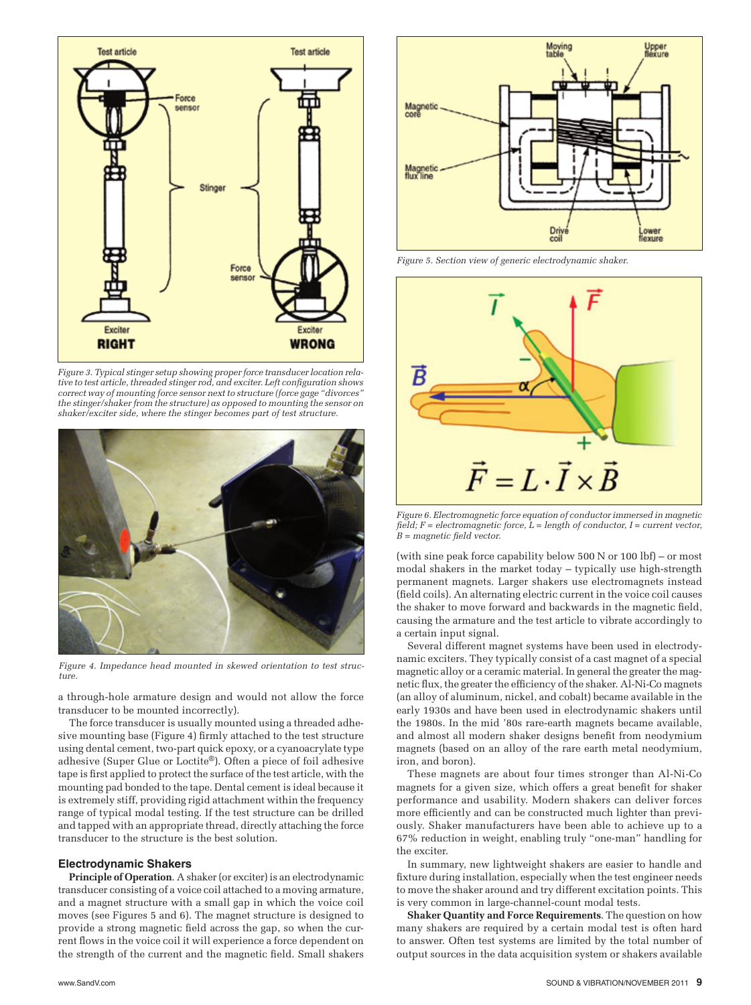

*Figure 3. Typical stinger setup showing proper force transducer location relative to test article, threaded stinger rod, and exciter. Left configuration shows correct way of mounting force sensor next to structure (force gage "divorces" the stinger/shaker from the structure) as opposed to mounting the sensor on shaker/exciter side, where the stinger becomes part of test structure.*



*Figure 4. Impedance head mounted in skewed orientation to test structure.*

a through-hole armature design and would not allow the force transducer to be mounted incorrectly).

The force transducer is usually mounted using a threaded adhesive mounting base (Figure 4) firmly attached to the test structure using dental cement, two-part quick epoxy, or a cyanoacrylate type adhesive (Super Glue or Loctite®). Often a piece of foil adhesive tape is first applied to protect the surface of the test article, with the mounting pad bonded to the tape. Dental cement is ideal because it is extremely stiff, providing rigid attachment within the frequency range of typical modal testing. If the test structure can be drilled and tapped with an appropriate thread, directly attaching the force transducer to the structure is the best solution.

## **Electrodynamic Shakers**

**Principle of Operation**. A shaker (or exciter) is an electrodynamic transducer consisting of a voice coil attached to a moving armature, and a magnet structure with a small gap in which the voice coil moves (see Figures 5 and 6). The magnet structure is designed to provide a strong magnetic field across the gap, so when the current flows in the voice coil it will experience a force dependent on the strength of the current and the magnetic field. Small shakers



*Figure 5. Section view of generic electrodynamic shaker.*



*Figure 6. Electromagnetic force equation of conductor immersed in magnetic field; F = electromagnetic force, L = length of conductor, I = current vector, B = magnetic field vector.*

(with sine peak force capability below 500 N or 100 lbf) – or most modal shakers in the market today – typically use high-strength permanent magnets. Larger shakers use electromagnets instead (field coils). An alternating electric current in the voice coil causes the shaker to move forward and backwards in the magnetic field, causing the armature and the test article to vibrate accordingly to a certain input signal.

Several different magnet systems have been used in electrodynamic exciters. They typically consist of a cast magnet of a special magnetic alloy or a ceramic material. In general the greater the magnetic flux, the greater the efficiency of the shaker. Al-Ni-Co magnets (an alloy of aluminum, nickel, and cobalt) became available in the early 1930s and have been used in electrodynamic shakers until the 1980s. In the mid '80s rare-earth magnets became available, and almost all modern shaker designs benefit from neodymium magnets (based on an alloy of the rare earth metal neodymium, iron, and boron).

These magnets are about four times stronger than Al-Ni-Co magnets for a given size, which offers a great benefit for shaker performance and usability. Modern shakers can deliver forces more efficiently and can be constructed much lighter than previously. Shaker manufacturers have been able to achieve up to a 67% reduction in weight, enabling truly "one-man" handling for the exciter.

In summary, new lightweight shakers are easier to handle and fixture during installation, especially when the test engineer needs to move the shaker around and try different excitation points. This is very common in large-channel-count modal tests.

**Shaker Quantity and Force Requirements**. The question on how many shakers are required by a certain modal test is often hard to answer. Often test systems are limited by the total number of output sources in the data acquisition system or shakers available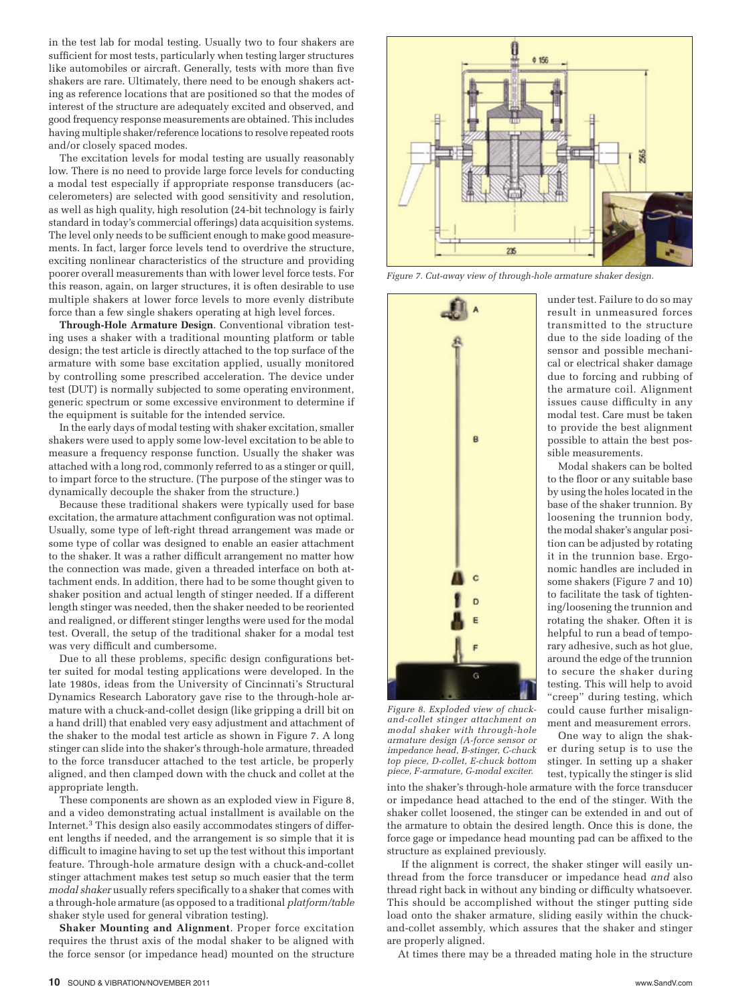in the test lab for modal testing. Usually two to four shakers are sufficient for most tests, particularly when testing larger structures like automobiles or aircraft. Generally, tests with more than five shakers are rare. Ultimately, there need to be enough shakers acting as reference locations that are positioned so that the modes of interest of the structure are adequately excited and observed, and good frequency response measurements are obtained. This includes having multiple shaker/reference locations to resolve repeated roots and/or closely spaced modes.

The excitation levels for modal testing are usually reasonably low. There is no need to provide large force levels for conducting a modal test especially if appropriate response transducers (accelerometers) are selected with good sensitivity and resolution, as well as high quality, high resolution (24-bit technology is fairly standard in today's commercial offerings) data acquisition systems. The level only needs to be sufficient enough to make good measurements. In fact, larger force levels tend to overdrive the structure, exciting nonlinear characteristics of the structure and providing poorer overall measurements than with lower level force tests. For this reason, again, on larger structures, it is often desirable to use multiple shakers at lower force levels to more evenly distribute force than a few single shakers operating at high level forces.

**Through-Hole Armature Design**. Conventional vibration testing uses a shaker with a traditional mounting platform or table design; the test article is directly attached to the top surface of the armature with some base excitation applied, usually monitored by controlling some prescribed acceleration. The device under test (DUT) is normally subjected to some operating environment, generic spectrum or some excessive environment to determine if the equipment is suitable for the intended service.

In the early days of modal testing with shaker excitation, smaller shakers were used to apply some low-level excitation to be able to measure a frequency response function. Usually the shaker was attached with a long rod, commonly referred to as a stinger or quill, to impart force to the structure. (The purpose of the stinger was to dynamically decouple the shaker from the structure.)

Because these traditional shakers were typically used for base excitation, the armature attachment configuration was not optimal. Usually, some type of left-right thread arrangement was made or some type of collar was designed to enable an easier attachment to the shaker. It was a rather difficult arrangement no matter how the connection was made, given a threaded interface on both attachment ends. In addition, there had to be some thought given to shaker position and actual length of stinger needed. If a different length stinger was needed, then the shaker needed to be reoriented and realigned, or different stinger lengths were used for the modal test. Overall, the setup of the traditional shaker for a modal test was very difficult and cumbersome.

Due to all these problems, specific design configurations better suited for modal testing applications were developed. In the late 1980s, ideas from the University of Cincinnati's Structural Dynamics Research Laboratory gave rise to the through-hole armature with a chuck-and-collet design (like gripping a drill bit on a hand drill) that enabled very easy adjustment and attachment of the shaker to the modal test article as shown in Figure 7. A long stinger can slide into the shaker's through-hole armature, threaded to the force transducer attached to the test article, be properly aligned, and then clamped down with the chuck and collet at the appropriate length.

These components are shown as an exploded view in Figure 8, and a video demonstrating actual installment is available on the Internet.3 This design also easily accommodates stingers of different lengths if needed, and the arrangement is so simple that it is difficult to imagine having to set up the test without this important feature. Through-hole armature design with a chuck-and-collet stinger attachment makes test setup so much easier that the term *modal shaker* usually refers specifically to a shaker that comes with a through-hole armature (as opposed to a traditional *platform/table* shaker style used for general vibration testing).

**Shaker Mounting and Alignment**. Proper force excitation requires the thrust axis of the modal shaker to be aligned with the force sensor (or impedance head) mounted on the structure



*Figure 7. Cut-away view of through-hole armature shaker design.*



*Figure 8. Exploded view of chuckand-collet stinger attachment on modal shaker with through-hole armature design (A-force sensor or impedance head, B-stinger, C-chuck top piece, D-collet, E-chuck bottom piece, F-armature, G-modal exciter.*

into the shaker's through-hole armature with the force transducer or impedance head attached to the end of the stinger. With the shaker collet loosened, the stinger can be extended in and out of the armature to obtain the desired length. Once this is done, the force gage or impedance head mounting pad can be affixed to the structure as explained previously.

 If the alignment is correct, the shaker stinger will easily unthread from the force transducer or impedance head *and* also thread right back in without any binding or difficulty whatsoever. This should be accomplished without the stinger putting side load onto the shaker armature, sliding easily within the chuckand-collet assembly, which assures that the shaker and stinger are properly aligned.

At times there may be a threaded mating hole in the structure

under test. Failure to do so may result in unmeasured forces transmitted to the structure due to the side loading of the sensor and possible mechanical or electrical shaker damage due to forcing and rubbing of the armature coil. Alignment issues cause difficulty in any modal test. Care must be taken to provide the best alignment possible to attain the best possible measurements.

Modal shakers can be bolted to the floor or any suitable base by using the holes located in the base of the shaker trunnion. By loosening the trunnion body, the modal shaker's angular position can be adjusted by rotating it in the trunnion base. Ergonomic handles are included in some shakers (Figure 7 and 10) to facilitate the task of tightening/loosening the trunnion and rotating the shaker. Often it is helpful to run a bead of temporary adhesive, such as hot glue, around the edge of the trunnion to secure the shaker during testing. This will help to avoid "creep" during testing, which could cause further misalignment and measurement errors.

One way to align the shaker during setup is to use the stinger. In setting up a shaker test, typically the stinger is slid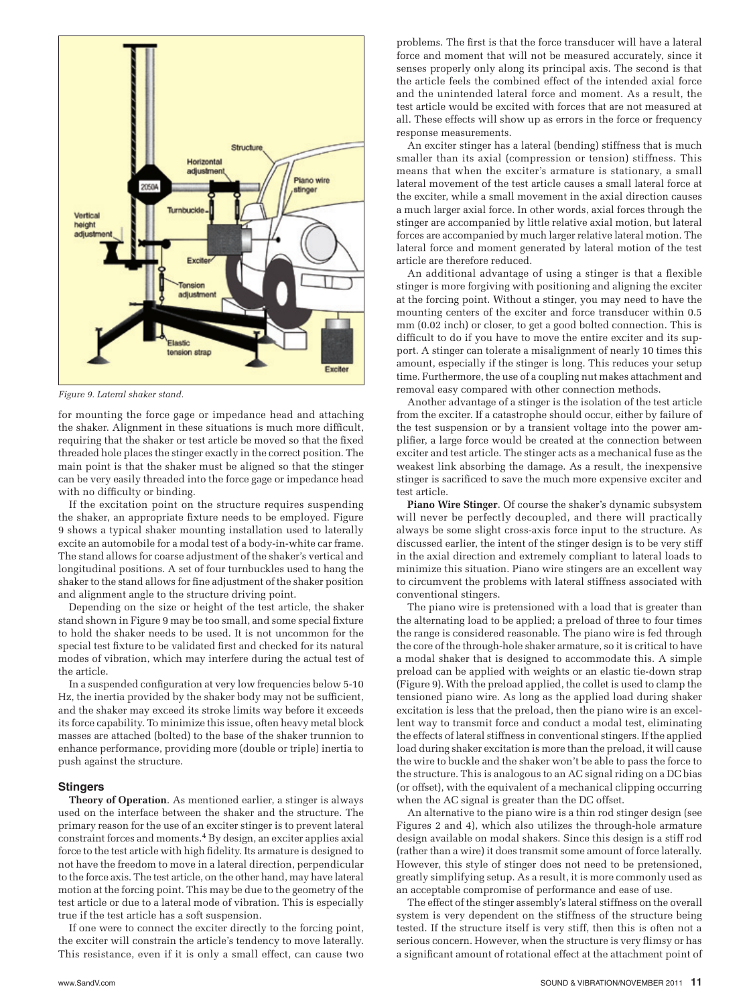

*Figure 9. Lateral shaker stand.*

for mounting the force gage or impedance head and attaching the shaker. Alignment in these situations is much more difficult, requiring that the shaker or test article be moved so that the fixed threaded hole places the stinger exactly in the correct position. The main point is that the shaker must be aligned so that the stinger can be very easily threaded into the force gage or impedance head with no difficulty or binding.

If the excitation point on the structure requires suspending the shaker, an appropriate fixture needs to be employed. Figure 9 shows a typical shaker mounting installation used to laterally excite an automobile for a modal test of a body-in-white car frame. The stand allows for coarse adjustment of the shaker's vertical and longitudinal positions. A set of four turnbuckles used to hang the shaker to the stand allows for fine adjustment of the shaker position and alignment angle to the structure driving point.

Depending on the size or height of the test article, the shaker stand shown in Figure 9 may be too small, and some special fixture to hold the shaker needs to be used. It is not uncommon for the special test fixture to be validated first and checked for its natural modes of vibration, which may interfere during the actual test of the article.

In a suspended configuration at very low frequencies below 5-10 Hz, the inertia provided by the shaker body may not be sufficient, and the shaker may exceed its stroke limits way before it exceeds its force capability. To minimize this issue, often heavy metal block masses are attached (bolted) to the base of the shaker trunnion to enhance performance, providing more (double or triple) inertia to push against the structure.

#### **Stingers**

**Theory of Operation**. As mentioned earlier, a stinger is always used on the interface between the shaker and the structure. The primary reason for the use of an exciter stinger is to prevent lateral constraint forces and moments.4 By design, an exciter applies axial force to the test article with high fidelity. Its armature is designed to not have the freedom to move in a lateral direction, perpendicular to the force axis. The test article, on the other hand, may have lateral motion at the forcing point. This may be due to the geometry of the test article or due to a lateral mode of vibration. This is especially true if the test article has a soft suspension.

If one were to connect the exciter directly to the forcing point, the exciter will constrain the article's tendency to move laterally. This resistance, even if it is only a small effect, can cause two problems. The first is that the force transducer will have a lateral force and moment that will not be measured accurately, since it senses properly only along its principal axis. The second is that the article feels the combined effect of the intended axial force and the unintended lateral force and moment. As a result, the test article would be excited with forces that are not measured at all. These effects will show up as errors in the force or frequency response measurements.

An exciter stinger has a lateral (bending) stiffness that is much smaller than its axial (compression or tension) stiffness. This means that when the exciter's armature is stationary, a small lateral movement of the test article causes a small lateral force at the exciter, while a small movement in the axial direction causes a much larger axial force. In other words, axial forces through the stinger are accompanied by little relative axial motion, but lateral forces are accompanied by much larger relative lateral motion. The lateral force and moment generated by lateral motion of the test article are therefore reduced.

An additional advantage of using a stinger is that a flexible stinger is more forgiving with positioning and aligning the exciter at the forcing point. Without a stinger, you may need to have the mounting centers of the exciter and force transducer within 0.5 mm (0.02 inch) or closer, to get a good bolted connection. This is difficult to do if you have to move the entire exciter and its support. A stinger can tolerate a misalignment of nearly 10 times this amount, especially if the stinger is long. This reduces your setup time. Furthermore, the use of a coupling nut makes attachment and removal easy compared with other connection methods.

Another advantage of a stinger is the isolation of the test article from the exciter. If a catastrophe should occur, either by failure of the test suspension or by a transient voltage into the power amplifier, a large force would be created at the connection between exciter and test article. The stinger acts as a mechanical fuse as the weakest link absorbing the damage. As a result, the inexpensive stinger is sacrificed to save the much more expensive exciter and test article.

**Piano Wire Stinger**. Of course the shaker's dynamic subsystem will never be perfectly decoupled, and there will practically always be some slight cross-axis force input to the structure. As discussed earlier, the intent of the stinger design is to be very stiff in the axial direction and extremely compliant to lateral loads to minimize this situation. Piano wire stingers are an excellent way to circumvent the problems with lateral stiffness associated with conventional stingers.

The piano wire is pretensioned with a load that is greater than the alternating load to be applied; a preload of three to four times the range is considered reasonable. The piano wire is fed through the core of the through-hole shaker armature, so it is critical to have a modal shaker that is designed to accommodate this. A simple preload can be applied with weights or an elastic tie-down strap (Figure 9). With the preload applied, the collet is used to clamp the tensioned piano wire. As long as the applied load during shaker excitation is less that the preload, then the piano wire is an excellent way to transmit force and conduct a modal test, eliminating the effects of lateral stiffness in conventional stingers. If the applied load during shaker excitation is more than the preload, it will cause the wire to buckle and the shaker won't be able to pass the force to the structure. This is analogous to an AC signal riding on a DC bias (or offset), with the equivalent of a mechanical clipping occurring when the AC signal is greater than the DC offset.

An alternative to the piano wire is a thin rod stinger design (see Figures 2 and 4), which also utilizes the through-hole armature design available on modal shakers. Since this design is a stiff rod (rather than a wire) it does transmit some amount of force laterally. However, this style of stinger does not need to be pretensioned, greatly simplifying setup. As a result, it is more commonly used as an acceptable compromise of performance and ease of use.

The effect of the stinger assembly's lateral stiffness on the overall system is very dependent on the stiffness of the structure being tested. If the structure itself is very stiff, then this is often not a serious concern. However, when the structure is very flimsy or has a significant amount of rotational effect at the attachment point of